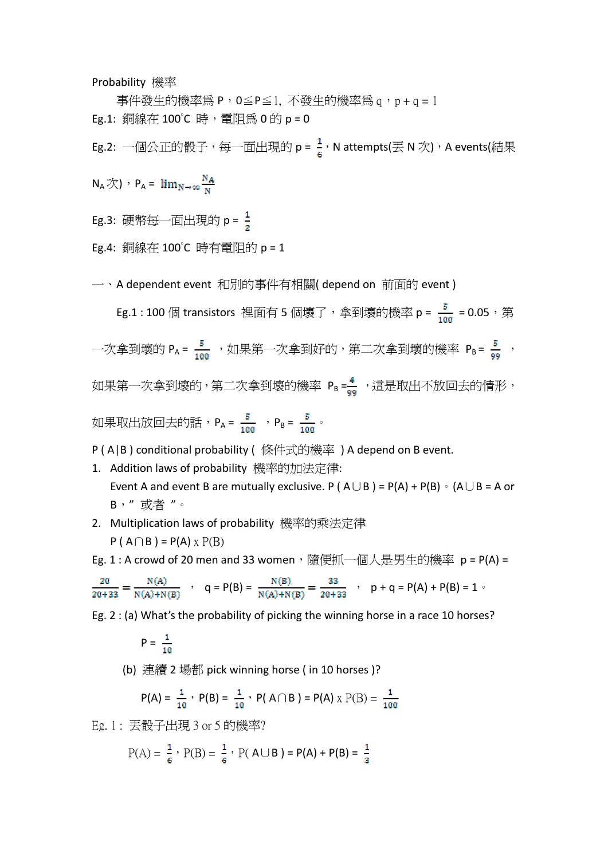Probability 機率

事件發生的機率為 P, 0≦P≦1, 不發生的機率為 q, p + q = 1 Eg.1: 銅線在 100℃ 時, 雷阳為 0 的 p = 0

Eg.2: 一個公正的骰子,每一面出現的 p =  $\frac{1}{6}$ , N attempts(丟 N 次), A events(結果

 $N_A \overline{\mathcal{K}}$ ),  $P_A = \lim_{N \to \infty} \frac{N_A}{N}$ 

Eg.3: 硬幣每一面出現的  $p = \frac{1}{2}$ 

Eg.4: 銅線在 100°C 時有電阻的 p = 1

一、A dependent event 和別的事件有相關( depend on 前面的 event )

Eg.1 : 100 個 transistors 裡面有 5 個壞了,拿到壞的機率 p =  $\frac{5}{100}$  = 0.05,第 一次拿到壞的  $P_A = \frac{5}{100}$ , 如果第一次拿到好的,第二次拿到壞的機率  $P_B = \frac{5}{98}$ 如果第一次拿到壞的,第二次拿到壞的機率 Pв=<mark>4</mark> ,這是取出不放回去的情形, 如果取出放回去的話, $P_A = \frac{5}{100}$  , $P_B = \frac{5}{100}$ 。

P ( A|B ) conditional probability ( 條件式的機率 ) A depend on B event.

- 1. Addition laws of probability 機率的加法定律: Event A and event B are mutually exclusive. P ( $A \cup B$ ) = P(A) + P(B)  $\circ$  (A $\cup$  B = A or B," 或者 "。
- 2. Multiplication laws of probability 機率的乘法定律  $P(A \cap B) = P(A) \times P(B)$

Eg. 1 : A crowd of 20 men and 33 women, 隨便抓一個人是男生的機率 p = P(A) =

$$
\frac{20}{20+33} = \frac{N(A)}{N(A)+N(B)} \quad , \quad q = P(B) = \frac{N(B)}{N(A)+N(B)} = \frac{33}{20+33} \quad , \quad p + q = P(A) + P(B) = 1 \quad .
$$

Eg. 2 : (a) What's the probability of picking the winning horse in a race 10 horses?

$$
P = \frac{1}{10}
$$

(b) 連續 2 場都 pick winning horse ( in 10 horses )?

$$
P(A) = \frac{1}{10}
$$
,  $P(B) = \frac{1}{10}$ ,  $P(A \cap B) = P(A) \times P(B) = \frac{1}{100}$ 

Eg. 1 : 丟骰子出現 3 or 5 的機率?

$$
P(A) = \frac{1}{6}
$$
,  $P(B) = \frac{1}{6}$ ,  $P(A \cup B) = P(A) + P(B) = \frac{1}{3}$